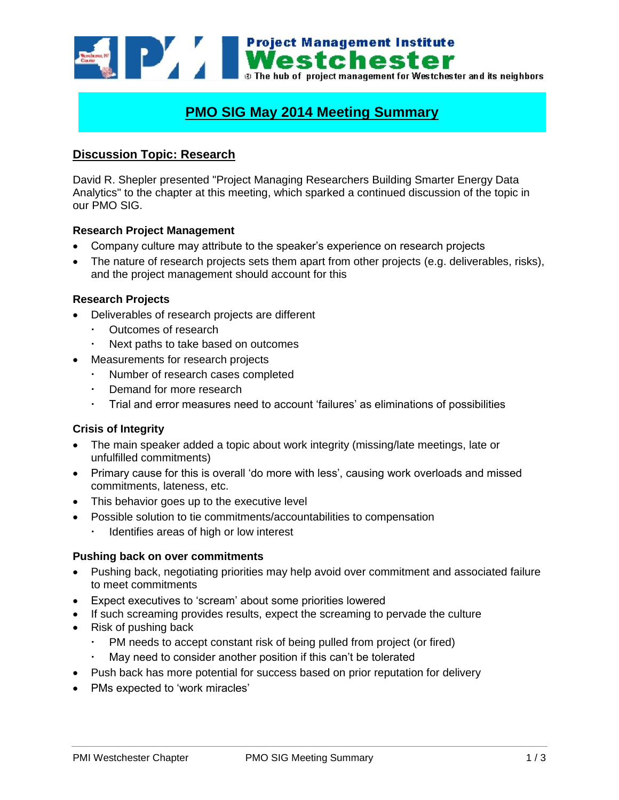**Example 1998 Mental Street Management Institute**<br> **Street Mental Street**<br> **Street Management for Westchester and its neighbors Project Management Institute** 

# **PMO SIG May 2014 Meeting Summary**

# **Discussion Topic: Research**

David R. Shepler presented "Project Managing Researchers Building Smarter Energy Data Analytics" to the chapter at this meeting, which sparked a continued discussion of the topic in our PMO SIG.

#### **Research Project Management**

- Company culture may attribute to the speaker's experience on research projects
- The nature of research projects sets them apart from other projects (e.g. deliverables, risks), and the project management should account for this

## **Research Projects**

- Deliverables of research projects are different
	- Outcomes of research
	- Next paths to take based on outcomes
- Measurements for research projects
	- Number of research cases completed
	- Demand for more research
	- Trial and error measures need to account 'failures' as eliminations of possibilities

## **Crisis of Integrity**

- The main speaker added a topic about work integrity (missing/late meetings, late or unfulfilled commitments)
- Primary cause for this is overall 'do more with less', causing work overloads and missed commitments, lateness, etc.
- This behavior goes up to the executive level
- Possible solution to tie commitments/accountabilities to compensation
	- Identifies areas of high or low interest

#### **Pushing back on over commitments**

- Pushing back, negotiating priorities may help avoid over commitment and associated failure to meet commitments
- Expect executives to 'scream' about some priorities lowered
- If such screaming provides results, expect the screaming to pervade the culture
- Risk of pushing back
	- PM needs to accept constant risk of being pulled from project (or fired)
	- May need to consider another position if this can't be tolerated
- Push back has more potential for success based on prior reputation for delivery
- PMs expected to 'work miracles'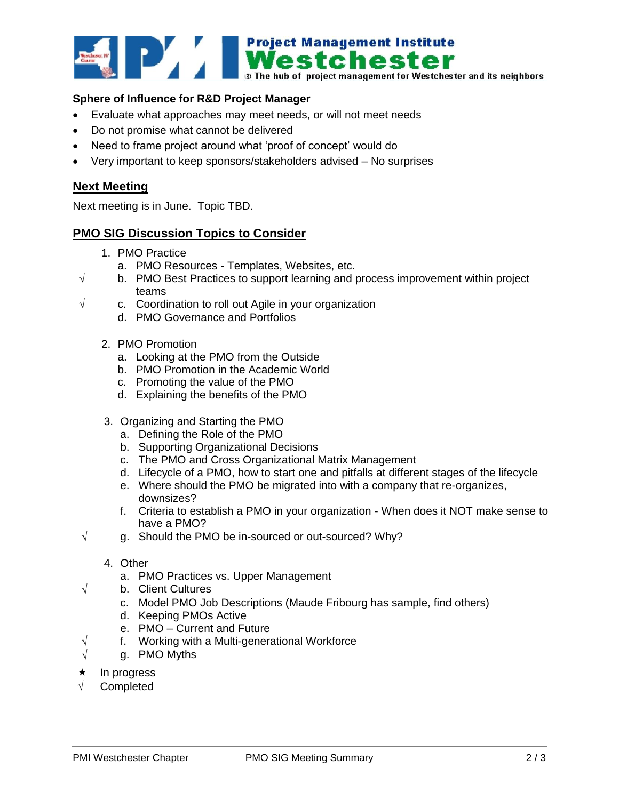

## **Sphere of Influence for R&D Project Manager**

- Evaluate what approaches may meet needs, or will not meet needs
- Do not promise what cannot be delivered
- Need to frame project around what 'proof of concept' would do
- Very important to keep sponsors/stakeholders advised No surprises

## **Next Meeting**

Next meeting is in June. Topic TBD.

## **PMO SIG Discussion Topics to Consider**

- 1. PMO Practice
	- a. PMO Resources Templates, Websites, etc.
- $\sqrt{\phantom{a}}$  b. PMO Best Practices to support learning and process improvement within project teams
- $\sqrt{ }$  c. Coordination to roll out Agile in your organization
	- d. PMO Governance and Portfolios
	- 2. PMO Promotion
		- a. Looking at the PMO from the Outside
		- b. PMO Promotion in the Academic World
		- c. Promoting the value of the PMO
		- d. Explaining the benefits of the PMO
	- 3. Organizing and Starting the PMO
		- a. Defining the Role of the PMO
		- b. Supporting Organizational Decisions
		- c. The PMO and Cross Organizational Matrix Management
		- d. Lifecycle of a PMO, how to start one and pitfalls at different stages of the lifecycle
		- e. Where should the PMO be migrated into with a company that re-organizes, downsizes?
		- f. Criteria to establish a PMO in your organization When does it NOT make sense to have a PMO?
- $\sqrt{q}$  g. Should the PMO be in-sourced or out-sourced? Why?

#### 4. Other

- a. PMO Practices vs. Upper Management
- $\sqrt{}$  b. Client Cultures
	- c. Model PMO Job Descriptions (Maude Fribourg has sample, find others)
	- d. Keeping PMOs Active
	- e. PMO Current and Future
- $\sqrt{ }$  f. Working with a Multi-generational Workforce
- $\sqrt{ }$  q. PMO Myths
- $\star$  In progress
- **Completed**